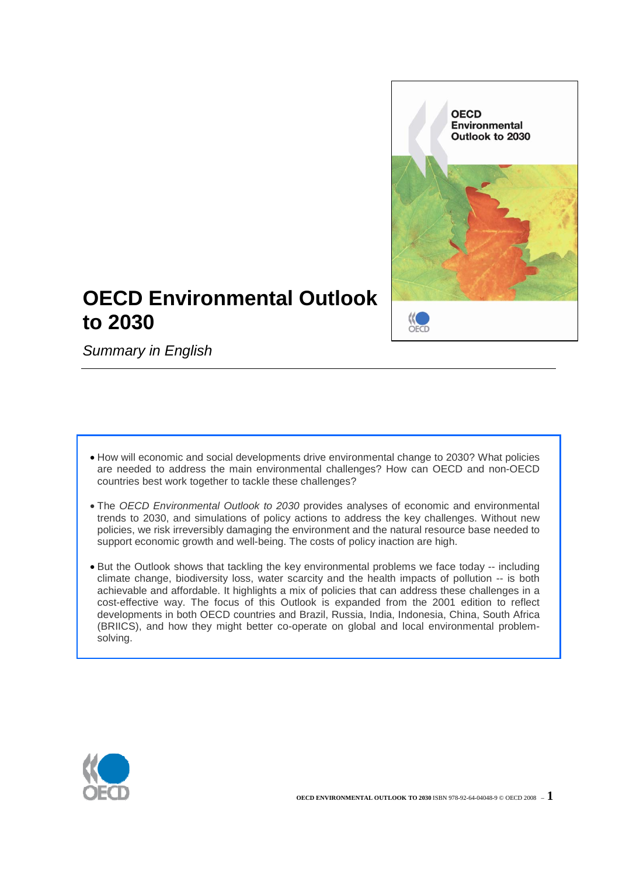

# **OECD Environmental Outlook to 2030**

*Summary in English* 

- How will economic and social developments drive environmental change to 2030? What policies are needed to address the main environmental challenges? How can OECD and non-OECD countries best work together to tackle these challenges?
- The *OECD Environmental Outlook to 2030* provides analyses of economic and environmental trends to 2030, and simulations of policy actions to address the key challenges. Without new policies, we risk irreversibly damaging the environment and the natural resource base needed to support economic growth and well-being. The costs of policy inaction are high.
- But the Outlook shows that tackling the key environmental problems we face today -- including climate change, biodiversity loss, water scarcity and the health impacts of pollution -- is both achievable and affordable. It highlights a mix of policies that can address these challenges in a cost-effective way. The focus of this Outlook is expanded from the 2001 edition to reflect developments in both OECD countries and Brazil, Russia, India, Indonesia, China, South Africa (BRIICS), and how they might better co-operate on global and local environmental problemsolving.

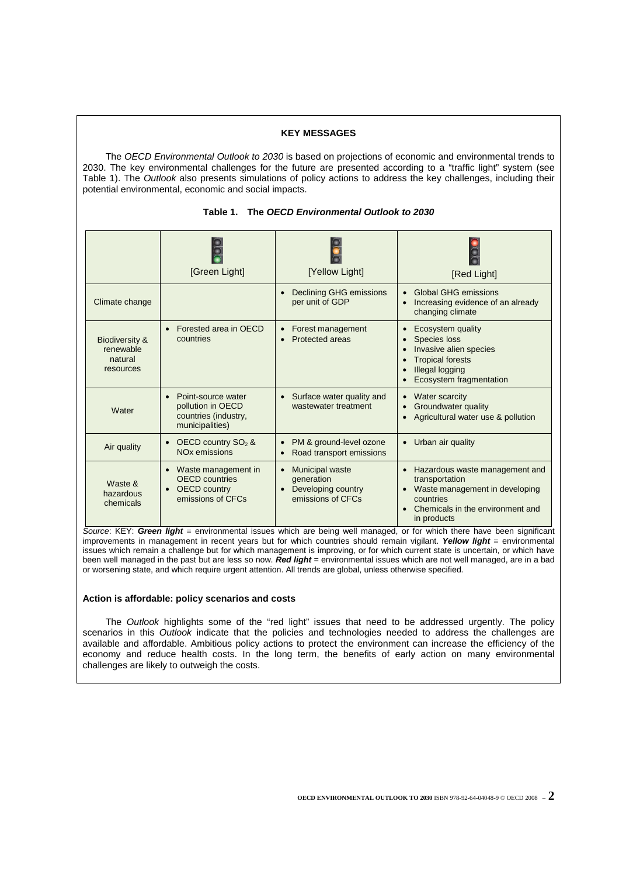## **KEY MESSAGES**

The *OECD Environmental Outlook to 2030* is based on projections of economic and environmental trends to 2030. The key environmental challenges for the future are presented according to a "traffic light" system (see Table 1). The *Outlook* also presents simulations of policy actions to address the key challenges, including their potential environmental, economic and social impacts.

|                                                     | [Green Light]                                                                            | [Yellow Light]                                                           | [Red Light]                                                                                                                                                           |
|-----------------------------------------------------|------------------------------------------------------------------------------------------|--------------------------------------------------------------------------|-----------------------------------------------------------------------------------------------------------------------------------------------------------------------|
| Climate change                                      |                                                                                          | <b>Declining GHG emissions</b><br>per unit of GDP                        | <b>Global GHG emissions</b><br>Increasing evidence of an already<br>changing climate                                                                                  |
| Biodiversity &<br>renewable<br>natural<br>resources | Forested area in OECD<br>countries                                                       | Forest management<br>Protected areas                                     | Ecosystem quality<br>$\bullet$<br>Species loss<br>Invasive alien species<br>$\bullet$<br><b>Tropical forests</b><br><b>Illegal logging</b><br>Ecosystem fragmentation |
| Water                                               | Point-source water<br>pollution in OECD<br>countries (industry,<br>municipalities)       | Surface water quality and<br>wastewater treatment                        | Water scarcity<br>$\bullet$<br>Groundwater quality<br>Agricultural water use & pollution                                                                              |
| Air quality                                         | OECD country SO <sub>2</sub> &<br><b>NO<sub>x</sub></b> emissions                        | PM & ground-level ozone<br>Road transport emissions                      | Urban air quality<br>$\bullet$                                                                                                                                        |
| Waste &<br>hazardous<br>chemicals                   | Waste management in<br><b>OECD</b> countries<br><b>OECD</b> country<br>emissions of CFCs | Municipal waste<br>generation<br>Developing country<br>emissions of CFCs | Hazardous waste management and<br>transportation<br>Waste management in developing<br>$\bullet$<br>countries<br>Chemicals in the environment and<br>in products       |

**Table 1. The** *OECD Environmental Outlook to 2030*

*Source*: KEY: *Green light* = environmental issues which are being well managed, or for which there have been significant improvements in management in recent years but for which countries should remain vigilant. *Yellow light* = environmental issues which remain a challenge but for which management is improving, or for which current state is uncertain, or which have been well managed in the past but are less so now. *Red light* = environmental issues which are not well managed, are in a bad or worsening state, and which require urgent attention. All trends are global, unless otherwise specified.

#### **Action is affordable: policy scenarios and costs**

The *Outlook* highlights some of the "red light" issues that need to be addressed urgently. The policy scenarios in this *Outlook* indicate that the policies and technologies needed to address the challenges are available and affordable. Ambitious policy actions to protect the environment can increase the efficiency of the economy and reduce health costs. In the long term, the benefits of early action on many environmental challenges are likely to outweigh the costs.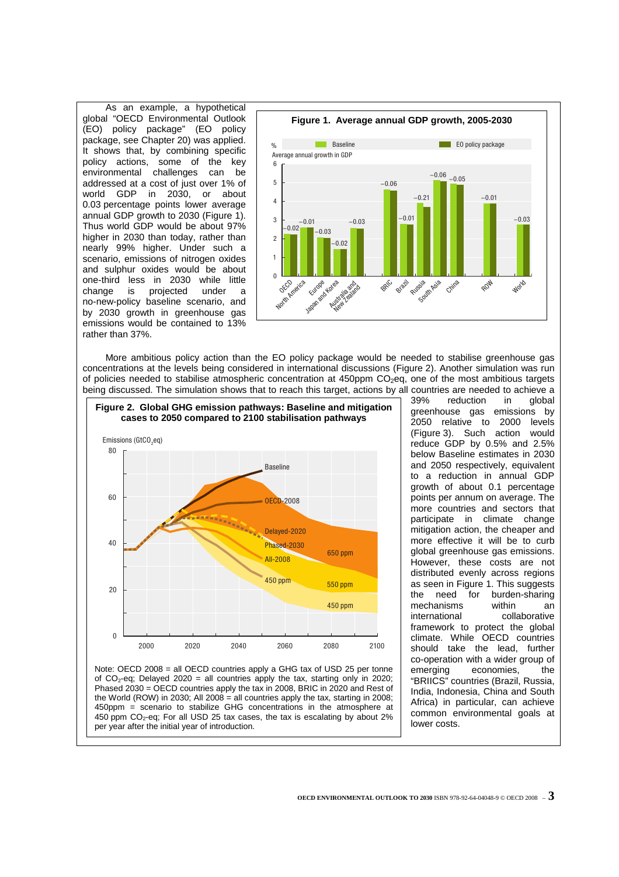As an example, a hypothetical global "OECD Environmental Outlook (EO) policy package" (EO policy package, see Chapter 20) was applied. It shows that, by combining specific policy actions, some of the key environmental challenges can be addressed at a cost of just over 1% of world GDP in 2030, or about 0.03 percentage points lower average annual GDP growth to 2030 (Figure 1). Thus world GDP would be about 97% higher in 2030 than today, rather than nearly 99% higher. Under such a scenario, emissions of nitrogen oxides and sulphur oxides would be about one-third less in 2030 while little change is projected under a no-new-policy baseline scenario, and by 2030 growth in greenhouse gas emissions would be contained to 13% rather than 37%.



More ambitious policy action than the EO policy package would be needed to stabilise greenhouse gas concentrations at the levels being considered in international discussions (Figure 2). Another simulation was run of policies needed to stabilise atmospheric concentration at 450ppm CO<sub>2</sub>eq, one of the most ambitious targets being discussed. The simulation shows that to reach this target, actions by all countries are needed to achieve a



Note: OECD 2008 = all OECD countries apply a GHG tax of USD 25 per tonne of  $CO_2$ -eq; Delayed 2020 = all countries apply the tax, starting only in 2020; Phased 2030 = OECD countries apply the tax in 2008, BRIC in 2020 and Rest of the World (ROW) in 2030; All 2008 = all countries apply the tax, starting in 2008; 450ppm = scenario to stabilize GHG concentrations in the atmosphere at 450 ppm  $CO<sub>2</sub>$ -eq; For all USD 25 tax cases, the tax is escalating by about 2% per year after the initial year of introduction.

39% reduction in global greenhouse gas emissions by 2050 relative to 2000 levels (Figure 3). Such action would reduce GDP by 0.5% and 2.5% below Baseline estimates in 2030 and 2050 respectively, equivalent to a reduction in annual GDP growth of about 0.1 percentage points per annum on average. The more countries and sectors that participate in climate change mitigation action, the cheaper and more effective it will be to curb global greenhouse gas emissions. However, these costs are not distributed evenly across regions as seen in Figure 1. This suggests the need for burden-sharing mechanisms within an international collaborative framework to protect the global climate. While OECD countries should take the lead, further co-operation with a wider group of<br>emerging economies. the emerging economies. "BRIICS" countries (Brazil, Russia, India, Indonesia, China and South Africa) in particular, can achieve common environmental goals at lower costs.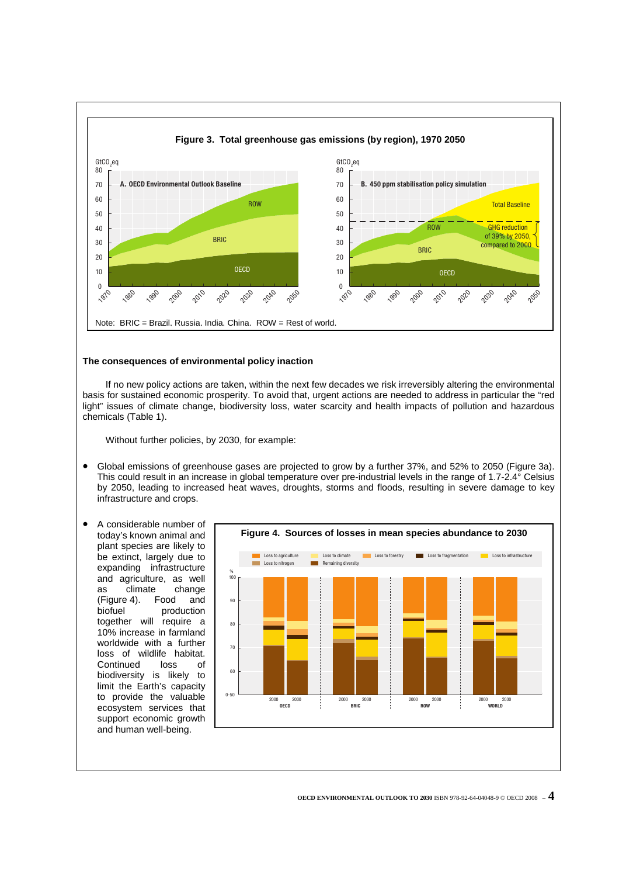

#### **The consequences of environmental policy inaction**

If no new policy actions are taken, within the next few decades we risk irreversibly altering the environmental basis for sustained economic prosperity. To avoid that, urgent actions are needed to address in particular the "red light" issues of climate change, biodiversity loss, water scarcity and health impacts of pollution and hazardous chemicals (Table 1).

Without further policies, by 2030, for example:

- Global emissions of greenhouse gases are projected to grow by a further 37%, and 52% to 2050 (Figure 3a). This could result in an increase in global temperature over pre-industrial levels in the range of 1.7-2.4° Celsius by 2050, leading to increased heat waves, droughts, storms and floods, resulting in severe damage to key infrastructure and crops.
- A considerable number of today's known animal and plant species are likely to be extinct, largely due to expanding infrastructure and agriculture, as well as climate change<br>(Figure 4). Food and (Figure 4). Food and<br>biofuel production production together will require a 10% increase in farmland worldwide with a further loss of wildlife habitat. Continued loss of biodiversity is likely to limit the Earth's capacity to provide the valuable ecosystem services that support economic growth and human well-being.

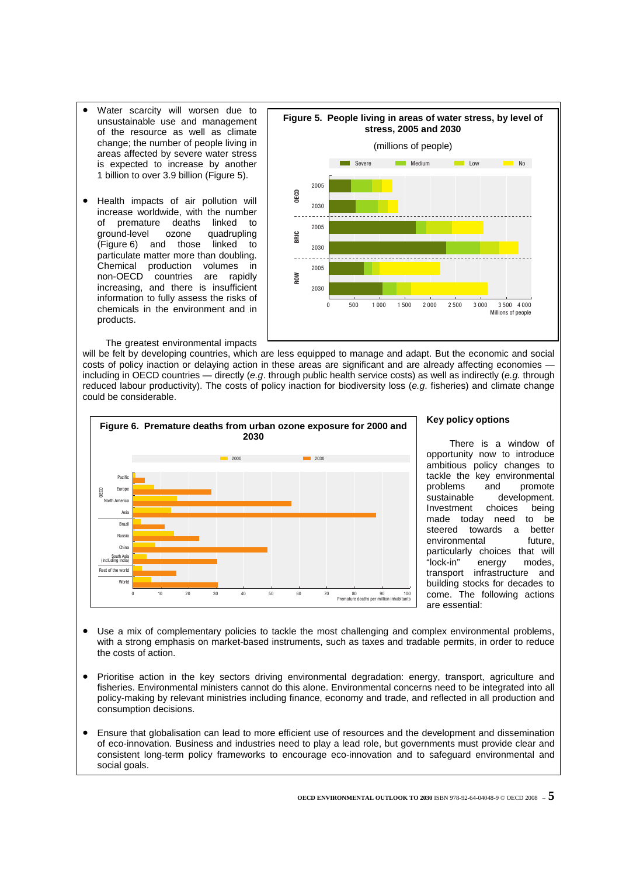- Water scarcity will worsen due to unsustainable use and management of the resource as well as climate change; the number of people living in areas affected by severe water stress is expected to increase by another 1 billion to over 3.9 billion (Figure 5).
- Health impacts of air pollution will increase worldwide, with the number of premature deaths linked to<br>ground-level ozone quadrupling ground-level (Figure 6) and those linked to particulate matter more than doubling. Chemical production volumes in non-OECD countries are rapidly increasing, and there is insufficient information to fully assess the risks of chemicals in the environment and in products.



The greatest environmental impacts

will be felt by developing countries, which are less equipped to manage and adapt. But the economic and social costs of policy inaction or delaying action in these areas are significant and are already affecting economies including in OECD countries — directly (*e.g*. through public health service costs) as well as indirectly (*e.g.* through reduced labour productivity). The costs of policy inaction for biodiversity loss (*e.g*. fisheries) and climate change could be considerable.



#### **Key policy options**

There is a window of opportunity now to introduce ambitious policy changes to tackle the key environmental<br>problems and promote problems and promote<br>sustainable development. development. Investment choices being made today need to be steered towards a better environmental future, particularly choices that will "lock-in" energy modes, transport infrastructure and building stocks for decades to come. The following actions are essential:

- Use a mix of complementary policies to tackle the most challenging and complex environmental problems, with a strong emphasis on market-based instruments, such as taxes and tradable permits, in order to reduce the costs of action.
- Prioritise action in the key sectors driving environmental degradation: energy, transport, agriculture and fisheries. Environmental ministers cannot do this alone. Environmental concerns need to be integrated into all policy-making by relevant ministries including finance, economy and trade, and reflected in all production and consumption decisions.
- Ensure that globalisation can lead to more efficient use of resources and the development and dissemination of eco-innovation. Business and industries need to play a lead role, but governments must provide clear and consistent long-term policy frameworks to encourage eco-innovation and to safeguard environmental and social goals.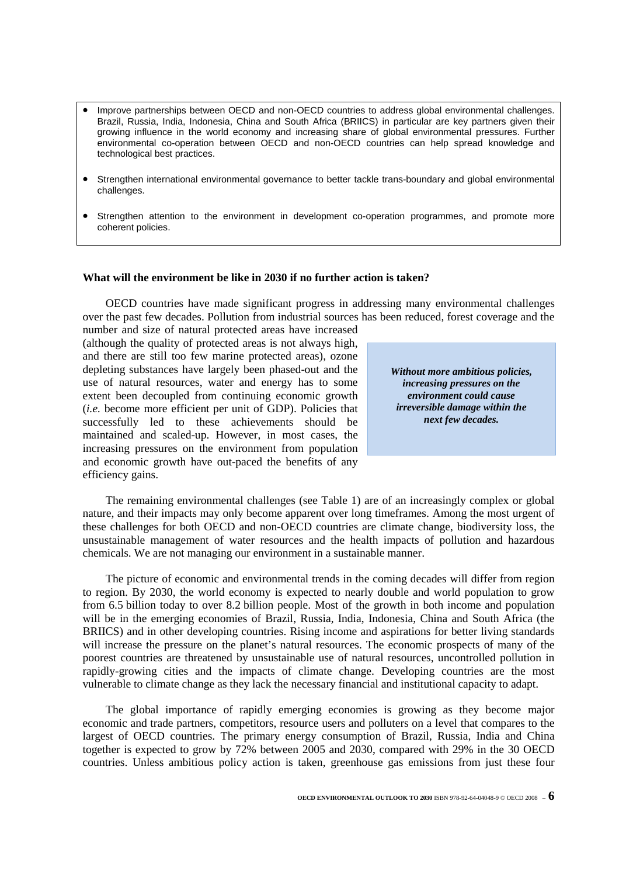- Improve partnerships between OECD and non-OECD countries to address global environmental challenges. Brazil, Russia, India, Indonesia, China and South Africa (BRIICS) in particular are key partners given their growing influence in the world economy and increasing share of global environmental pressures. Further environmental co-operation between OECD and non-OECD countries can help spread knowledge and technological best practices.
- Strengthen international environmental governance to better tackle trans-boundary and global environmental challenges.
- Strengthen attention to the environment in development co-operation programmes, and promote more coherent policies.

#### **What will the environment be like in 2030 if no further action is taken?**

OECD countries have made significant progress in addressing many environmental challenges over the past few decades. Pollution from industrial sources has been reduced, forest coverage and the

number and size of natural protected areas have increased (although the quality of protected areas is not always high, and there are still too few marine protected areas), ozone depleting substances have largely been phased-out and the use of natural resources, water and energy has to some extent been decoupled from continuing economic growth (*i.e.* become more efficient per unit of GDP). Policies that successfully led to these achievements should be maintained and scaled-up. However, in most cases, the increasing pressures on the environment from population and economic growth have out-paced the benefits of any efficiency gains.

*Without more ambitious policies, increasing pressures on the environment could cause irreversible damage within the next few decades.* 

The remaining environmental challenges (see Table 1) are of an increasingly complex or global nature, and their impacts may only become apparent over long timeframes. Among the most urgent of these challenges for both OECD and non-OECD countries are climate change, biodiversity loss, the unsustainable management of water resources and the health impacts of pollution and hazardous chemicals. We are not managing our environment in a sustainable manner.

The picture of economic and environmental trends in the coming decades will differ from region to region. By 2030, the world economy is expected to nearly double and world population to grow from 6.5 billion today to over 8.2 billion people. Most of the growth in both income and population will be in the emerging economies of Brazil, Russia, India, Indonesia, China and South Africa (the BRIICS) and in other developing countries. Rising income and aspirations for better living standards will increase the pressure on the planet's natural resources. The economic prospects of many of the poorest countries are threatened by unsustainable use of natural resources, uncontrolled pollution in rapidly-growing cities and the impacts of climate change. Developing countries are the most vulnerable to climate change as they lack the necessary financial and institutional capacity to adapt.

The global importance of rapidly emerging economies is growing as they become major economic and trade partners, competitors, resource users and polluters on a level that compares to the largest of OECD countries. The primary energy consumption of Brazil, Russia, India and China together is expected to grow by 72% between 2005 and 2030, compared with 29% in the 30 OECD countries. Unless ambitious policy action is taken, greenhouse gas emissions from just these four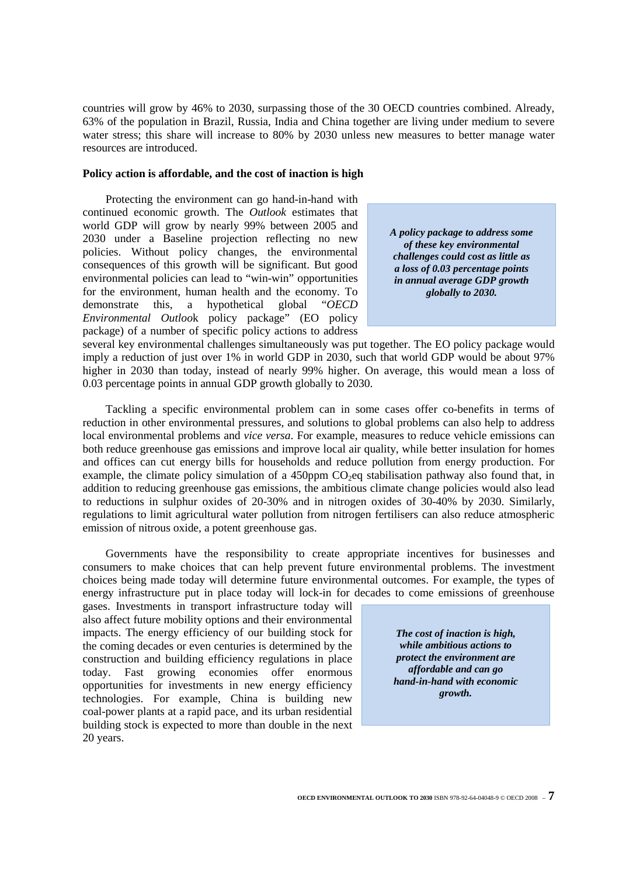countries will grow by 46% to 2030, surpassing those of the 30 OECD countries combined. Already, 63% of the population in Brazil, Russia, India and China together are living under medium to severe water stress; this share will increase to 80% by 2030 unless new measures to better manage water resources are introduced.

#### **Policy action is affordable, and the cost of inaction is high**

Protecting the environment can go hand-in-hand with continued economic growth. The *Outlook* estimates that world GDP will grow by nearly 99% between 2005 and 2030 under a Baseline projection reflecting no new policies. Without policy changes, the environmental consequences of this growth will be significant. But good environmental policies can lead to "win-win" opportunities for the environment, human health and the economy. To demonstrate this, a hypothetical global "*OECD Environmental Outloo*k policy package" (EO policy package) of a number of specific policy actions to address

*A policy package to address some of these key environmental challenges could cost as little as a loss of 0.03 percentage points in annual average GDP growth globally to 2030.* 

several key environmental challenges simultaneously was put together. The EO policy package would imply a reduction of just over 1% in world GDP in 2030, such that world GDP would be about 97% higher in 2030 than today, instead of nearly 99% higher. On average, this would mean a loss of 0.03 percentage points in annual GDP growth globally to 2030.

Tackling a specific environmental problem can in some cases offer co-benefits in terms of reduction in other environmental pressures, and solutions to global problems can also help to address local environmental problems and *vice versa*. For example, measures to reduce vehicle emissions can both reduce greenhouse gas emissions and improve local air quality, while better insulation for homes and offices can cut energy bills for households and reduce pollution from energy production. For example, the climate policy simulation of a 450ppm  $CO<sub>2</sub>$ eq stabilisation pathway also found that, in addition to reducing greenhouse gas emissions, the ambitious climate change policies would also lead to reductions in sulphur oxides of 20-30% and in nitrogen oxides of 30-40% by 2030. Similarly, regulations to limit agricultural water pollution from nitrogen fertilisers can also reduce atmospheric emission of nitrous oxide, a potent greenhouse gas.

Governments have the responsibility to create appropriate incentives for businesses and consumers to make choices that can help prevent future environmental problems. The investment choices being made today will determine future environmental outcomes. For example, the types of energy infrastructure put in place today will lock-in for decades to come emissions of greenhouse

gases. Investments in transport infrastructure today will also affect future mobility options and their environmental impacts. The energy efficiency of our building stock for the coming decades or even centuries is determined by the construction and building efficiency regulations in place today. Fast growing economies offer enormous opportunities for investments in new energy efficiency technologies. For example, China is building new coal-power plants at a rapid pace, and its urban residential building stock is expected to more than double in the next 20 years.

*The cost of inaction is high, while ambitious actions to protect the environment are affordable and can go hand-in-hand with economic growth.*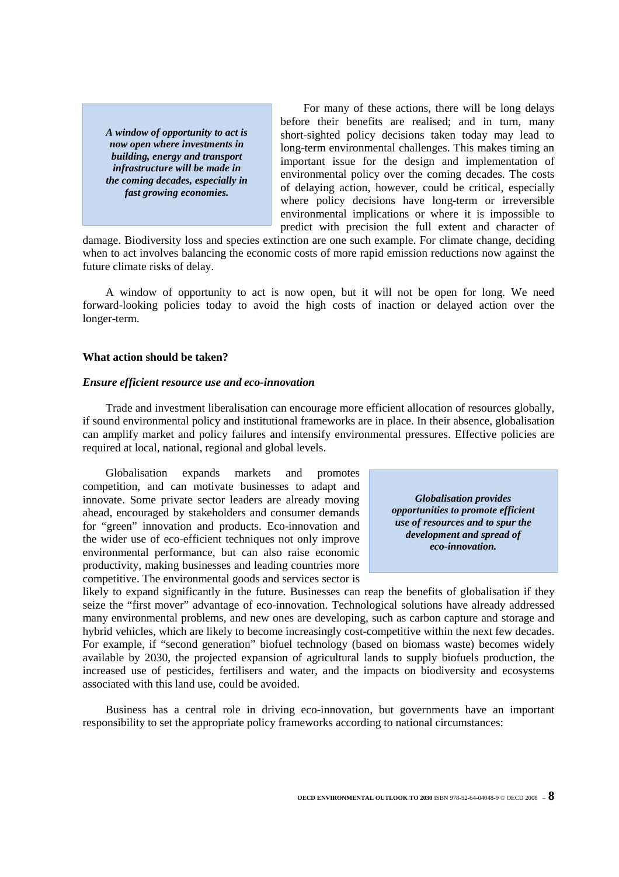*A window of opportunity to act is now open where investments in building, energy and transport infrastructure will be made in the coming decades, especially in fast growing economies.* 

For many of these actions, there will be long delays before their benefits are realised; and in turn, many short-sighted policy decisions taken today may lead to long-term environmental challenges. This makes timing an important issue for the design and implementation of environmental policy over the coming decades. The costs of delaying action, however, could be critical, especially where policy decisions have long-term or irreversible environmental implications or where it is impossible to predict with precision the full extent and character of

damage. Biodiversity loss and species extinction are one such example. For climate change, deciding when to act involves balancing the economic costs of more rapid emission reductions now against the future climate risks of delay.

A window of opportunity to act is now open, but it will not be open for long. We need forward-looking policies today to avoid the high costs of inaction or delayed action over the longer-term.

#### **What action should be taken?**

#### *Ensure efficient resource use and eco-innovation*

Trade and investment liberalisation can encourage more efficient allocation of resources globally, if sound environmental policy and institutional frameworks are in place. In their absence, globalisation can amplify market and policy failures and intensify environmental pressures. Effective policies are required at local, national, regional and global levels.

Globalisation expands markets and promotes competition, and can motivate businesses to adapt and innovate. Some private sector leaders are already moving ahead, encouraged by stakeholders and consumer demands for "green" innovation and products. Eco-innovation and the wider use of eco-efficient techniques not only improve environmental performance, but can also raise economic productivity, making businesses and leading countries more competitive. The environmental goods and services sector is

*Globalisation provides opportunities to promote efficient use of resources and to spur the development and spread of eco-innovation.*

likely to expand significantly in the future. Businesses can reap the benefits of globalisation if they seize the "first mover" advantage of eco-innovation. Technological solutions have already addressed many environmental problems, and new ones are developing, such as carbon capture and storage and hybrid vehicles, which are likely to become increasingly cost-competitive within the next few decades. For example, if "second generation" biofuel technology (based on biomass waste) becomes widely available by 2030, the projected expansion of agricultural lands to supply biofuels production, the increased use of pesticides, fertilisers and water, and the impacts on biodiversity and ecosystems associated with this land use, could be avoided.

Business has a central role in driving eco-innovation, but governments have an important responsibility to set the appropriate policy frameworks according to national circumstances: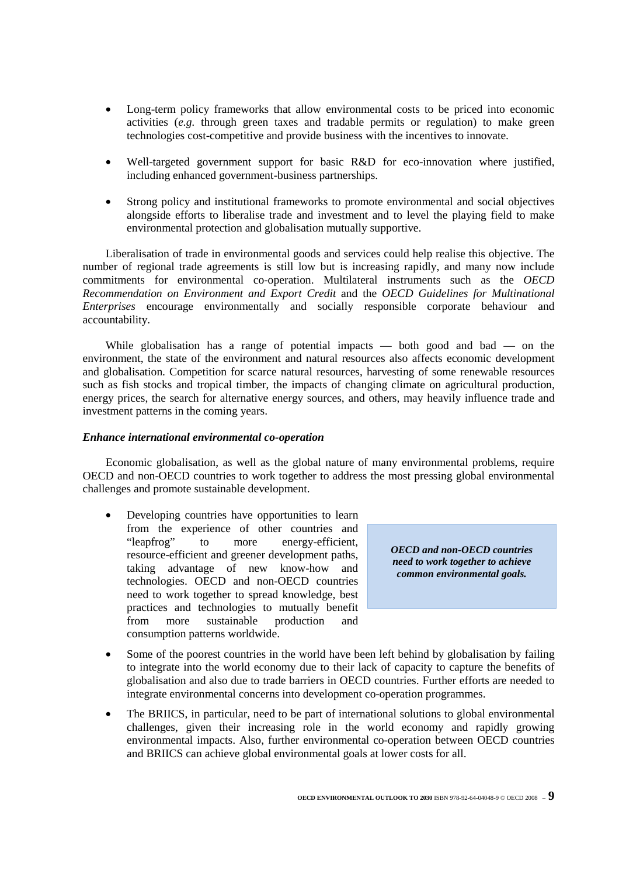- Long-term policy frameworks that allow environmental costs to be priced into economic activities (*e.g.* through green taxes and tradable permits or regulation) to make green technologies cost-competitive and provide business with the incentives to innovate.
- Well-targeted government support for basic R&D for eco-innovation where justified, including enhanced government-business partnerships.
- Strong policy and institutional frameworks to promote environmental and social objectives alongside efforts to liberalise trade and investment and to level the playing field to make environmental protection and globalisation mutually supportive.

Liberalisation of trade in environmental goods and services could help realise this objective. The number of regional trade agreements is still low but is increasing rapidly, and many now include commitments for environmental co-operation. Multilateral instruments such as the *OECD Recommendation on Environment and Export Credit* and the *OECD Guidelines for Multinational Enterprises* encourage environmentally and socially responsible corporate behaviour and accountability.

While globalisation has a range of potential impacts — both good and bad — on the environment, the state of the environment and natural resources also affects economic development and globalisation. Competition for scarce natural resources, harvesting of some renewable resources such as fish stocks and tropical timber, the impacts of changing climate on agricultural production, energy prices, the search for alternative energy sources, and others, may heavily influence trade and investment patterns in the coming years.

## *Enhance international environmental co-operation*

Economic globalisation, as well as the global nature of many environmental problems, require OECD and non-OECD countries to work together to address the most pressing global environmental challenges and promote sustainable development.

• Developing countries have opportunities to learn from the experience of other countries and "leapfrog" to more energy-efficient, resource-efficient and greener development paths, taking advantage of new know-how and technologies. OECD and non-OECD countries need to work together to spread knowledge, best practices and technologies to mutually benefit from more sustainable production and consumption patterns worldwide.

*OECD and non-OECD countries need to work together to achieve common environmental goals.* 

- Some of the poorest countries in the world have been left behind by globalisation by failing to integrate into the world economy due to their lack of capacity to capture the benefits of globalisation and also due to trade barriers in OECD countries. Further efforts are needed to integrate environmental concerns into development co-operation programmes.
- The BRIICS, in particular, need to be part of international solutions to global environmental challenges, given their increasing role in the world economy and rapidly growing environmental impacts. Also, further environmental co-operation between OECD countries and BRIICS can achieve global environmental goals at lower costs for all.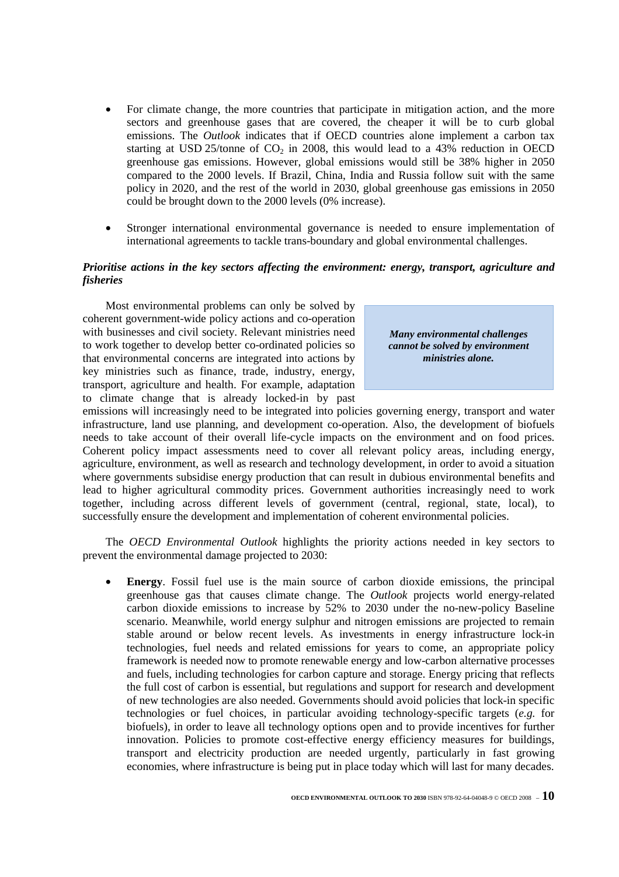- For climate change, the more countries that participate in mitigation action, and the more sectors and greenhouse gases that are covered, the cheaper it will be to curb global emissions. The *Outlook* indicates that if OECD countries alone implement a carbon tax starting at USD 25/tonne of  $CO<sub>2</sub>$  in 2008, this would lead to a 43% reduction in OECD greenhouse gas emissions. However, global emissions would still be 38% higher in 2050 compared to the 2000 levels. If Brazil, China, India and Russia follow suit with the same policy in 2020, and the rest of the world in 2030, global greenhouse gas emissions in 2050 could be brought down to the 2000 levels (0% increase).
- Stronger international environmental governance is needed to ensure implementation of international agreements to tackle trans-boundary and global environmental challenges.

# *Prioritise actions in the key sectors affecting the environment: energy, transport, agriculture and fisheries*

Most environmental problems can only be solved by coherent government-wide policy actions and co-operation with businesses and civil society. Relevant ministries need to work together to develop better co-ordinated policies so that environmental concerns are integrated into actions by key ministries such as finance, trade, industry, energy, transport, agriculture and health. For example, adaptation to climate change that is already locked-in by past

*Many environmental challenges cannot be solved by environment ministries alone.* 

emissions will increasingly need to be integrated into policies governing energy, transport and water infrastructure, land use planning, and development co-operation. Also, the development of biofuels needs to take account of their overall life-cycle impacts on the environment and on food prices. Coherent policy impact assessments need to cover all relevant policy areas, including energy, agriculture, environment, as well as research and technology development, in order to avoid a situation where governments subsidise energy production that can result in dubious environmental benefits and lead to higher agricultural commodity prices. Government authorities increasingly need to work together, including across different levels of government (central, regional, state, local), to successfully ensure the development and implementation of coherent environmental policies.

The *OECD Environmental Outlook* highlights the priority actions needed in key sectors to prevent the environmental damage projected to 2030:

• **Energy**. Fossil fuel use is the main source of carbon dioxide emissions, the principal greenhouse gas that causes climate change. The *Outlook* projects world energy-related carbon dioxide emissions to increase by 52% to 2030 under the no-new-policy Baseline scenario. Meanwhile, world energy sulphur and nitrogen emissions are projected to remain stable around or below recent levels. As investments in energy infrastructure lock-in technologies, fuel needs and related emissions for years to come, an appropriate policy framework is needed now to promote renewable energy and low-carbon alternative processes and fuels, including technologies for carbon capture and storage. Energy pricing that reflects the full cost of carbon is essential, but regulations and support for research and development of new technologies are also needed. Governments should avoid policies that lock-in specific technologies or fuel choices, in particular avoiding technology-specific targets (*e.g.* for biofuels), in order to leave all technology options open and to provide incentives for further innovation. Policies to promote cost-effective energy efficiency measures for buildings, transport and electricity production are needed urgently, particularly in fast growing economies, where infrastructure is being put in place today which will last for many decades.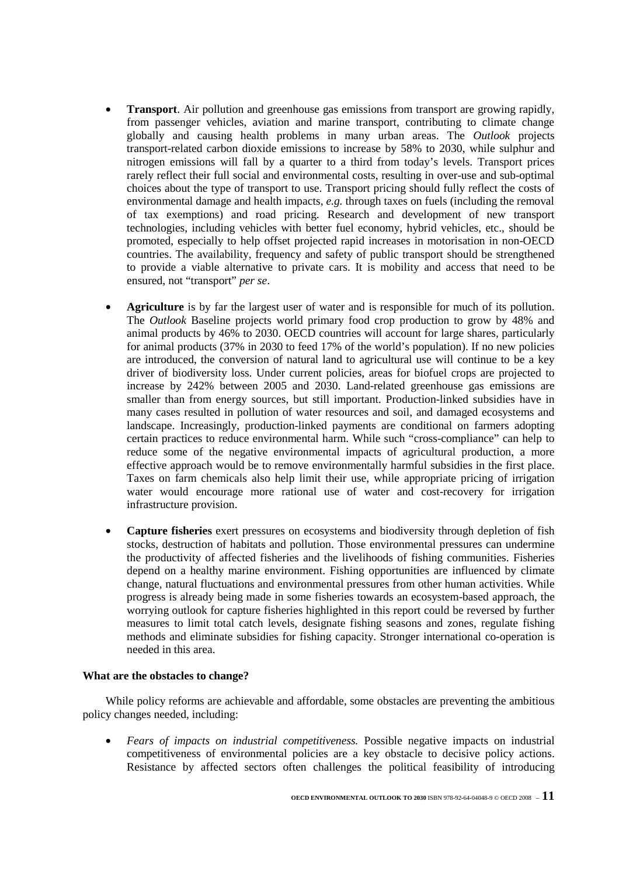- **Transport**. Air pollution and greenhouse gas emissions from transport are growing rapidly, from passenger vehicles, aviation and marine transport, contributing to climate change globally and causing health problems in many urban areas. The *Outlook* projects transport-related carbon dioxide emissions to increase by 58% to 2030, while sulphur and nitrogen emissions will fall by a quarter to a third from today's levels. Transport prices rarely reflect their full social and environmental costs, resulting in over-use and sub-optimal choices about the type of transport to use. Transport pricing should fully reflect the costs of environmental damage and health impacts, *e.g.* through taxes on fuels (including the removal of tax exemptions) and road pricing. Research and development of new transport technologies, including vehicles with better fuel economy, hybrid vehicles, etc., should be promoted, especially to help offset projected rapid increases in motorisation in non-OECD countries. The availability, frequency and safety of public transport should be strengthened to provide a viable alternative to private cars. It is mobility and access that need to be ensured, not "transport" *per se*.
- **Agriculture** is by far the largest user of water and is responsible for much of its pollution. The *Outlook* Baseline projects world primary food crop production to grow by 48% and animal products by 46% to 2030. OECD countries will account for large shares, particularly for animal products (37% in 2030 to feed 17% of the world's population). If no new policies are introduced, the conversion of natural land to agricultural use will continue to be a key driver of biodiversity loss. Under current policies, areas for biofuel crops are projected to increase by 242% between 2005 and 2030. Land-related greenhouse gas emissions are smaller than from energy sources, but still important. Production-linked subsidies have in many cases resulted in pollution of water resources and soil, and damaged ecosystems and landscape. Increasingly, production-linked payments are conditional on farmers adopting certain practices to reduce environmental harm. While such "cross-compliance" can help to reduce some of the negative environmental impacts of agricultural production, a more effective approach would be to remove environmentally harmful subsidies in the first place. Taxes on farm chemicals also help limit their use, while appropriate pricing of irrigation water would encourage more rational use of water and cost-recovery for irrigation infrastructure provision.
- **Capture fisheries** exert pressures on ecosystems and biodiversity through depletion of fish stocks, destruction of habitats and pollution. Those environmental pressures can undermine the productivity of affected fisheries and the livelihoods of fishing communities. Fisheries depend on a healthy marine environment. Fishing opportunities are influenced by climate change, natural fluctuations and environmental pressures from other human activities. While progress is already being made in some fisheries towards an ecosystem-based approach, the worrying outlook for capture fisheries highlighted in this report could be reversed by further measures to limit total catch levels, designate fishing seasons and zones, regulate fishing methods and eliminate subsidies for fishing capacity. Stronger international co-operation is needed in this area.

## **What are the obstacles to change?**

While policy reforms are achievable and affordable, some obstacles are preventing the ambitious policy changes needed, including:

• *Fears of impacts on industrial competitiveness.* Possible negative impacts on industrial competitiveness of environmental policies are a key obstacle to decisive policy actions. Resistance by affected sectors often challenges the political feasibility of introducing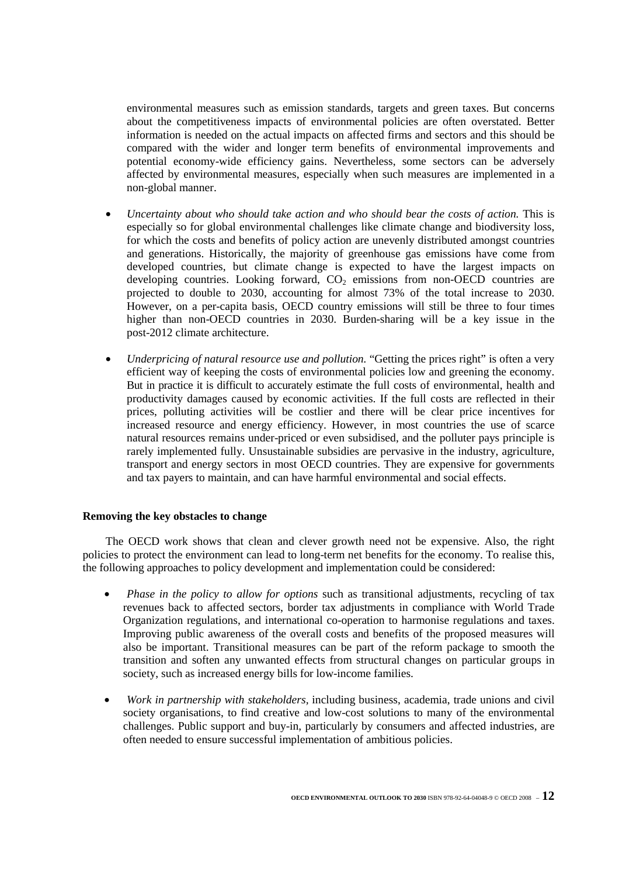environmental measures such as emission standards, targets and green taxes. But concerns about the competitiveness impacts of environmental policies are often overstated. Better information is needed on the actual impacts on affected firms and sectors and this should be compared with the wider and longer term benefits of environmental improvements and potential economy-wide efficiency gains. Nevertheless, some sectors can be adversely affected by environmental measures, especially when such measures are implemented in a non-global manner.

- *Uncertainty about who should take action and who should bear the costs of action.* This is especially so for global environmental challenges like climate change and biodiversity loss, for which the costs and benefits of policy action are unevenly distributed amongst countries and generations. Historically, the majority of greenhouse gas emissions have come from developed countries, but climate change is expected to have the largest impacts on developing countries. Looking forward,  $CO<sub>2</sub>$  emissions from non-OECD countries are projected to double to 2030, accounting for almost 73% of the total increase to 2030. However, on a per-capita basis, OECD country emissions will still be three to four times higher than non-OECD countries in 2030. Burden-sharing will be a key issue in the post-2012 climate architecture.
- *Underpricing of natural resource use and pollution.* "Getting the prices right" is often a very efficient way of keeping the costs of environmental policies low and greening the economy. But in practice it is difficult to accurately estimate the full costs of environmental, health and productivity damages caused by economic activities. If the full costs are reflected in their prices, polluting activities will be costlier and there will be clear price incentives for increased resource and energy efficiency. However, in most countries the use of scarce natural resources remains under-priced or even subsidised, and the polluter pays principle is rarely implemented fully. Unsustainable subsidies are pervasive in the industry, agriculture, transport and energy sectors in most OECD countries. They are expensive for governments and tax payers to maintain, and can have harmful environmental and social effects.

# **Removing the key obstacles to change**

The OECD work shows that clean and clever growth need not be expensive. Also, the right policies to protect the environment can lead to long-term net benefits for the economy. To realise this, the following approaches to policy development and implementation could be considered:

- *Phase in the policy to allow for options* such as transitional adjustments, recycling of tax revenues back to affected sectors, border tax adjustments in compliance with World Trade Organization regulations, and international co-operation to harmonise regulations and taxes. Improving public awareness of the overall costs and benefits of the proposed measures will also be important. Transitional measures can be part of the reform package to smooth the transition and soften any unwanted effects from structural changes on particular groups in society, such as increased energy bills for low-income families.
- *Work in partnership with stakeholders,* including business, academia, trade unions and civil society organisations, to find creative and low-cost solutions to many of the environmental challenges. Public support and buy-in, particularly by consumers and affected industries, are often needed to ensure successful implementation of ambitious policies.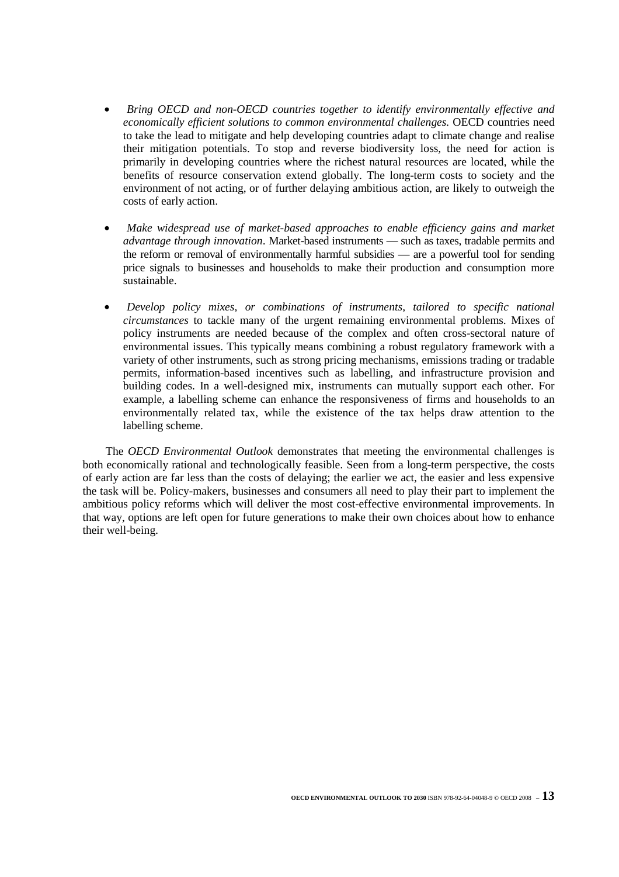- *Bring OECD and non-OECD countries together to identify environmentally effective and economically efficient solutions to common environmental challenges.* OECD countries need to take the lead to mitigate and help developing countries adapt to climate change and realise their mitigation potentials. To stop and reverse biodiversity loss, the need for action is primarily in developing countries where the richest natural resources are located, while the benefits of resource conservation extend globally. The long-term costs to society and the environment of not acting, or of further delaying ambitious action, are likely to outweigh the costs of early action.
- *Make widespread use of market-based approaches to enable efficiency gains and market advantage through innovation*. Market-based instruments — such as taxes, tradable permits and the reform or removal of environmentally harmful subsidies — are a powerful tool for sending price signals to businesses and households to make their production and consumption more sustainable.
- *Develop policy mixes, or combinations of instruments, tailored to specific national circumstances* to tackle many of the urgent remaining environmental problems. Mixes of policy instruments are needed because of the complex and often cross-sectoral nature of environmental issues. This typically means combining a robust regulatory framework with a variety of other instruments, such as strong pricing mechanisms, emissions trading or tradable permits, information-based incentives such as labelling, and infrastructure provision and building codes. In a well-designed mix, instruments can mutually support each other. For example, a labelling scheme can enhance the responsiveness of firms and households to an environmentally related tax, while the existence of the tax helps draw attention to the labelling scheme.

The *OECD Environmental Outlook* demonstrates that meeting the environmental challenges is both economically rational and technologically feasible. Seen from a long-term perspective, the costs of early action are far less than the costs of delaying; the earlier we act, the easier and less expensive the task will be. Policy-makers, businesses and consumers all need to play their part to implement the ambitious policy reforms which will deliver the most cost-effective environmental improvements. In that way, options are left open for future generations to make their own choices about how to enhance their well-being.